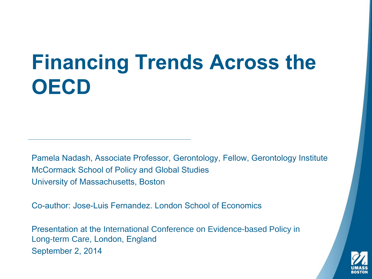# **Financing Trends Across the OECD**

Pamela Nadash, Associate Professor, Gerontology, Fellow, Gerontology Institute McCormack School of Policy and Global Studies University of Massachusetts, Boston

Co-author: Jose-Luis Fernandez. London School of Economics

Presentation at the International Conference on Evidence-based Policy in Long-term Care, London, England September 2, 2014

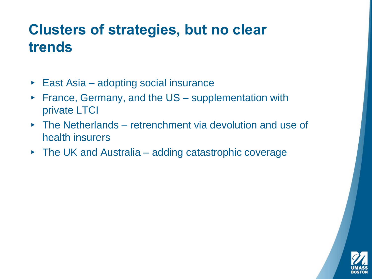# **Clusters of strategies, but no clear trends**

- ▸ East Asia adopting social insurance
- ▸ France, Germany, and the US supplementation with private LTCI
- ▸ The Netherlands retrenchment via devolution and use of health insurers
- ▸ The UK and Australia adding catastrophic coverage

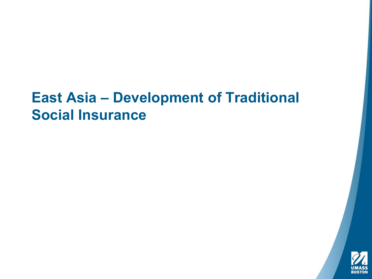# **East Asia – Development of Traditional Social Insurance**

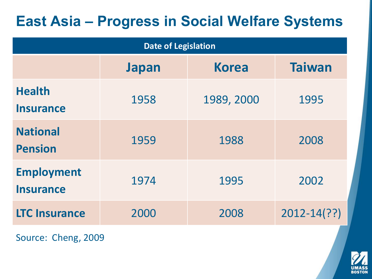# **East Asia – Progress in Social Welfare Systems**

| <b>Date of Legislation</b>            |              |              |                 |
|---------------------------------------|--------------|--------------|-----------------|
|                                       | <b>Japan</b> | <b>Korea</b> | <b>Taiwan</b>   |
| <b>Health</b><br><b>Insurance</b>     | 1958         | 1989, 2000   | 1995            |
| <b>National</b><br><b>Pension</b>     | 1959         | 1988         | 2008            |
| <b>Employment</b><br><b>Insurance</b> | 1974         | 1995         | 2002            |
| <b>LTC Insurance</b>                  | 2000         | 2008         | $2012 - 14(??)$ |

Source: Cheng, 2009

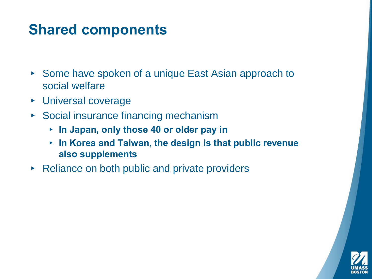## **Shared components**

- ▸ Some have spoken of a unique East Asian approach to social welfare
- ▸ Universal coverage
- ▸ Social insurance financing mechanism
	- ▸ **In Japan, only those 40 or older pay in**
	- ▸ **In Korea and Taiwan, the design is that public revenue also supplements**
- ▸ Reliance on both public and private providers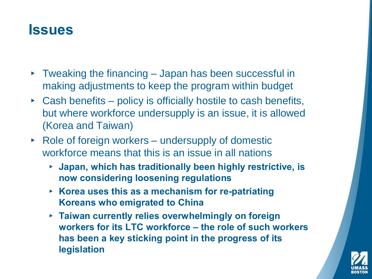#### **Issues**

- ▸ Tweaking the financing Japan has been successful in making adjustments to keep the program within budget
- $\triangleright$  Cash benefits policy is officially hostile to cash benefits, but where workforce undersupply is an issue, it is allowed (Korea and Taiwan)
- $\triangleright$  Role of foreign workers undersupply of domestic workforce means that this is an issue in all nations
	- ▸ **Japan, which has traditionally been highly restrictive, is now considering loosening regulations**
	- ▸ **Korea uses this as a mechanism for re-patriating Koreans who emigrated to China**
	- ▸ **Taiwan currently relies overwhelmingly on foreign workers for its LTC workforce – the role of such workers has been a key sticking point in the progress of its legislation**

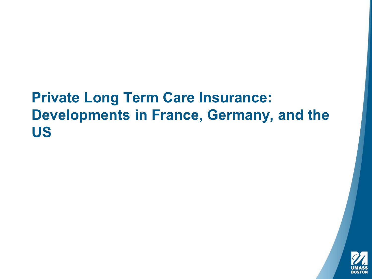# **Private Long Term Care Insurance: Developments in France, Germany, and the US**

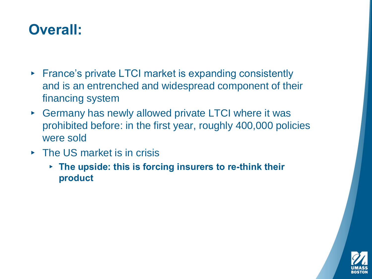#### **Overall:**

- ▸ France's private LTCI market is expanding consistently and is an entrenched and widespread component of their financing system
- ▸ Germany has newly allowed private LTCI where it was prohibited before: in the first year, roughly 400,000 policies were sold
- ▸ The US market is in crisis
	- ▸ **The upside: this is forcing insurers to re-think their product**

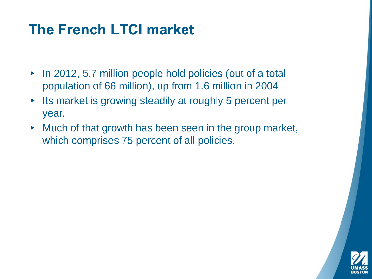# **The French LTCI market**

- ▸ In 2012, 5.7 million people hold policies (out of a total population of 66 million), up from 1.6 million in 2004
- ▸ Its market is growing steadily at roughly 5 percent per year.
- ▸ Much of that growth has been seen in the group market, which comprises 75 percent of all policies.

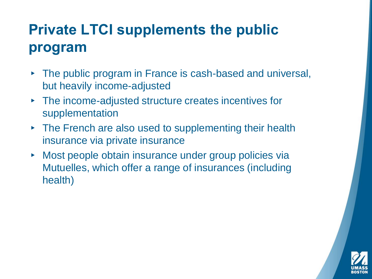# **Private LTCI supplements the public program**

- ▸ The public program in France is cash-based and universal, but heavily income-adjusted
- ▸ The income-adjusted structure creates incentives for supplementation
- ▸ The French are also used to supplementing their health insurance via private insurance
- ▸ Most people obtain insurance under group policies via Mutuelles, which offer a range of insurances (including health)

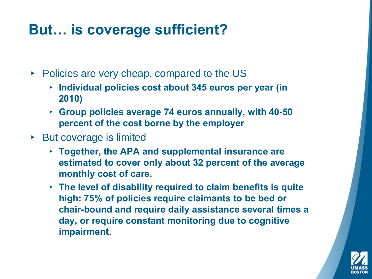# **But… is coverage sufficient?**

- ▸ Policies are very cheap, compared to the US
	- ▸ **Individual policies cost about 345 euros per year (in 2010)**
	- ▸ **Group policies average 74 euros annually, with 40-50 percent of the cost borne by the employer**
- ▸ But coverage is limited
	- ▸ **Together, the APA and supplemental insurance are estimated to cover only about 32 percent of the average monthly cost of care.**
	- ▸ **The level of disability required to claim benefits is quite high: 75% of policies require claimants to be bed or chair-bound and require daily assistance several times a day, or require constant monitoring due to cognitive impairment.**

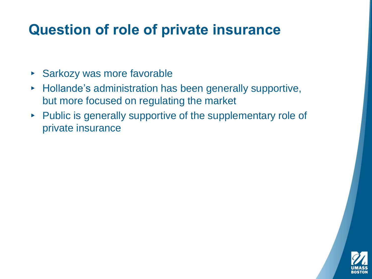# **Question of role of private insurance**

- ▸ Sarkozy was more favorable
- ▸ Hollande's administration has been generally supportive, but more focused on regulating the market
- ▸ Public is generally supportive of the supplementary role of private insurance

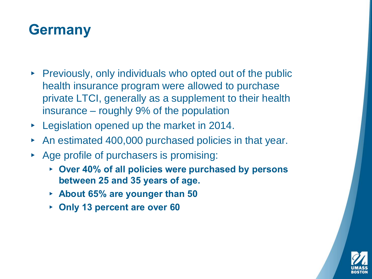### **Germany**

- ▸ Previously, only individuals who opted out of the public health insurance program were allowed to purchase private LTCI, generally as a supplement to their health insurance – roughly 9% of the population
- ▸ Legislation opened up the market in 2014.
- ▸ An estimated 400,000 purchased policies in that year.
- ▸ Age profile of purchasers is promising:
	- ▸ **Over 40% of all policies were purchased by persons between 25 and 35 years of age.**
	- ▸ **About 65% are younger than 50**
	- ▸ **Only 13 percent are over 60**

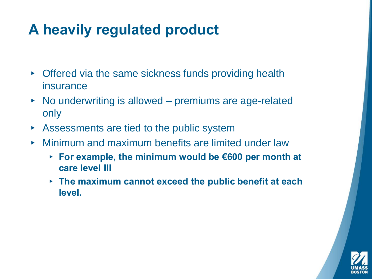# **A heavily regulated product**

- ▸ Offered via the same sickness funds providing health insurance
- ▸ No underwriting is allowed premiums are age-related only
- ▸ Assessments are tied to the public system
- ▸ Minimum and maximum benefits are limited under law
	- ▸ **For example, the minimum would be €600 per month at care level III**
	- ▸ **The maximum cannot exceed the public benefit at each level.**

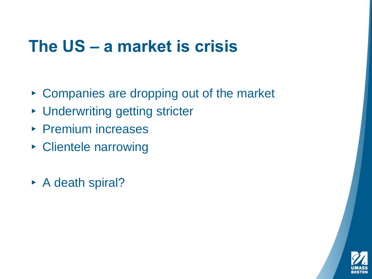# **The US – a market is crisis**

- ▸ Companies are dropping out of the market
- ▸ Underwriting getting stricter
- ▶ Premium increases
- ▸ Clientele narrowing
- ▸ A death spiral?

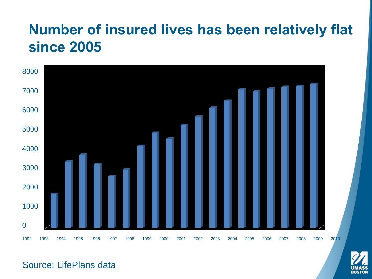# **Number of insured lives has been relatively flat since 2005**



Source: LifePlans data

**BOSTON**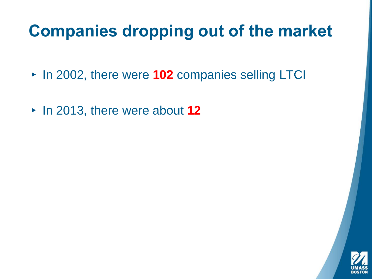# **Companies dropping out of the market**

- ▸ In 2002, there were **102** companies selling LTCI
- ▸ In 2013, there were about **12**

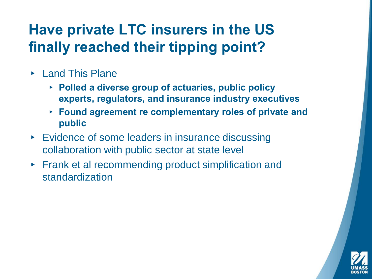# **Have private LTC insurers in the US finally reached their tipping point?**

- ▸ Land This Plane
	- ▸ **Polled a diverse group of actuaries, public policy experts, regulators, and insurance industry executives**
	- ▸ **Found agreement re complementary roles of private and public**
- ▸ Evidence of some leaders in insurance discussing collaboration with public sector at state level
- ▸ Frank et al recommending product simplification and standardization

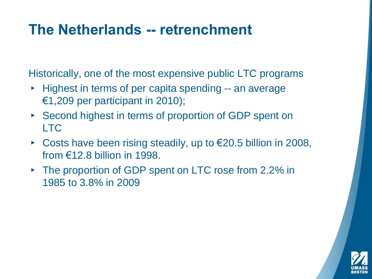### **The Netherlands -- retrenchment**

Historically, one of the most expensive public LTC programs

- ▸ Highest in terms of per capita spending -- an average €1,209 per participant in 2010);
- ▸ Second highest in terms of proportion of GDP spent on LTC
- ▸ Costs have been rising steadily, up to €20.5 billion in 2008, from €12.8 billion in 1998.
- ▸ The proportion of GDP spent on LTC rose from 2.2% in 1985 to 3.8% in 2009

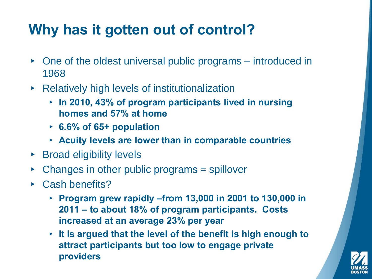# **Why has it gotten out of control?**

- ▸ One of the oldest universal public programs introduced in 1968
- ▸ Relatively high levels of institutionalization
	- ▸ **In 2010, 43% of program participants lived in nursing homes and 57% at home**
	- ▸ **6.6% of 65+ population**
	- ▸ **Acuity levels are lower than in comparable countries**
- ▸ Broad eligibility levels
- $\triangleright$  Changes in other public programs = spillover
- ▸ Cash benefits?
	- ▸ **Program grew rapidly –from 13,000 in 2001 to 130,000 in 2011 – to about 18% of program participants. Costs increased at an average 23% per year**
	- ▸ **It is argued that the level of the benefit is high enough to attract participants but too low to engage private providers**

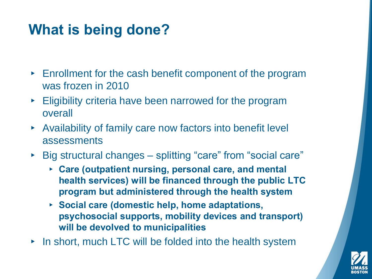# **What is being done?**

- ▸ Enrollment for the cash benefit component of the program was frozen in 2010
- ▸ Eligibility criteria have been narrowed for the program overall
- ▸ Availability of family care now factors into benefit level assessments
- ▸ Big structural changes splitting "care" from "social care"
	- ▸ **Care (outpatient nursing, personal care, and mental health services) will be financed through the public LTC program but administered through the health system**
	- ▸ **Social care (domestic help, home adaptations, psychosocial supports, mobility devices and transport) will be devolved to municipalities**
- ▸ In short, much LTC will be folded into the health system